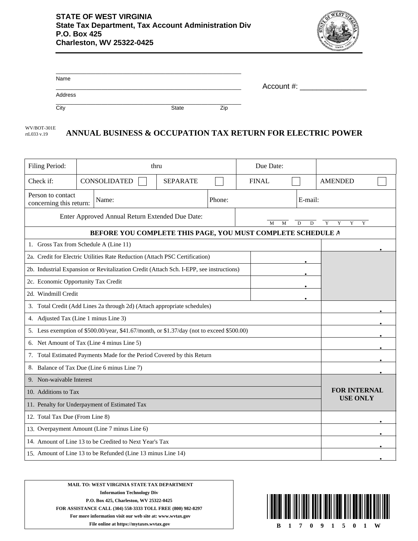

| Name    |       |     |            |
|---------|-------|-----|------------|
|         |       |     | Account #: |
| Address |       |     |            |
| City    | State | Zip |            |

## **ANNUAL BUSINESS & OCCUPATION TAX RETURN FOR ELECTRIC POWER** WV/BOT-301E rtL033 v.19

| Filing Period:                                                                            | thru |                                                                                         |                 | Due Date:           |  |              |  |                |  |  |
|-------------------------------------------------------------------------------------------|------|-----------------------------------------------------------------------------------------|-----------------|---------------------|--|--------------|--|----------------|--|--|
| Check if:                                                                                 |      | <b>CONSOLIDATED</b>                                                                     | <b>SEPARATE</b> |                     |  | <b>FINAL</b> |  | <b>AMENDED</b> |  |  |
| Person to contact<br>concerning this return:                                              |      | Name:                                                                                   |                 | Phone:              |  | E-mail:      |  |                |  |  |
| Enter Approved Annual Return Extended Due Date:<br>M<br>M<br>D<br>D                       |      |                                                                                         |                 | Y<br>Y<br>Y<br>Y    |  |              |  |                |  |  |
|                                                                                           |      | BEFORE YOU COMPLETE THIS PAGE, YOU MUST COMPLETE SCHEDULE A                             |                 |                     |  |              |  |                |  |  |
| 1. Gross Tax from Schedule A (Line 11)                                                    |      |                                                                                         |                 |                     |  |              |  |                |  |  |
| 2a. Credit for Electric Utilities Rate Reduction (Attach PSC Certification)               |      |                                                                                         |                 |                     |  |              |  |                |  |  |
|                                                                                           |      | 2b. Industrial Expansion or Revitalization Credit (Attach Sch. I-EPP, see instructions) |                 |                     |  |              |  |                |  |  |
| 2c. Economic Opportunity Tax Credit                                                       |      |                                                                                         |                 |                     |  |              |  |                |  |  |
| 2d. Windmill Credit                                                                       |      |                                                                                         |                 |                     |  |              |  |                |  |  |
|                                                                                           |      | 3. Total Credit (Add Lines 2a through 2d) (Attach appropriate schedules)                |                 |                     |  |              |  |                |  |  |
| 4. Adjusted Tax (Line 1 minus Line 3)                                                     |      |                                                                                         |                 |                     |  |              |  |                |  |  |
| 5. Less exemption of \$500.00/year, \$41.67/month, or \$1.37/day (not to exceed \$500.00) |      |                                                                                         |                 |                     |  |              |  |                |  |  |
| 6. Net Amount of Tax (Line 4 minus Line 5)                                                |      |                                                                                         |                 |                     |  |              |  |                |  |  |
| 7. Total Estimated Payments Made for the Period Covered by this Return                    |      |                                                                                         |                 |                     |  |              |  |                |  |  |
| 8. Balance of Tax Due (Line 6 minus Line 7)                                               |      |                                                                                         |                 |                     |  |              |  |                |  |  |
| 9. Non-waivable Interest                                                                  |      |                                                                                         |                 |                     |  |              |  |                |  |  |
| 10. Additions to Tax                                                                      |      |                                                                                         |                 | <b>FOR INTERNAL</b> |  |              |  |                |  |  |
| 11. Penalty for Underpayment of Estimated Tax                                             |      |                                                                                         |                 | <b>USE ONLY</b>     |  |              |  |                |  |  |
| 12. Total Tax Due (From Line 8)                                                           |      |                                                                                         |                 |                     |  |              |  |                |  |  |
| 13. Overpayment Amount (Line 7 minus Line 6)                                              |      |                                                                                         |                 |                     |  |              |  |                |  |  |
| 14. Amount of Line 13 to be Credited to Next Year's Tax                                   |      |                                                                                         |                 |                     |  |              |  |                |  |  |
| 15. Amount of Line 13 to be Refunded (Line 13 minus Line 14)                              |      |                                                                                         |                 |                     |  |              |  |                |  |  |

**MAIL TO: WEST VIRGINIA STATE TAX DEPARTMENT Information Technology Div P.O. Box 425, Charleston, WV 25322-0425 FOR ASSISTANCE CALL (304) 558-3333 TOLL FREE (800) 982-8297 For more information visit our web site at: www.wvtax.gov File online at https://mytaxes.wvtax.gov B 1 7 0 9 1 5 0 1 W**

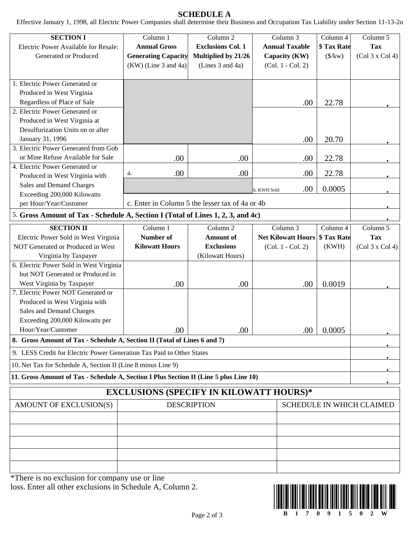## **SCHEDULE A**

Effective January 1, 1998, all Electric Power Companies shall determine their Business and Occupation Tax Liability under Section 11-13-2o

| <b>SECTION I</b><br>Electric Power Available for Resale:<br>Generated or Produced                                            | Column 1<br><b>Annual Gross</b><br><b>Generating Capacity</b><br>(KW) (Line 3 and 4a) | Column 2<br><b>Exclusions Col. 1</b><br>Multiplied by 21/26<br>(Lines 3 and 4a) | Column 3<br><b>Annual Taxable</b><br>Capacity (KW)<br>(Col. 1 - Col. 2) | Column 4<br>\$ Tax Rate<br>$(\frac{1}{2}kw)$ | Column 5<br><b>Tax</b><br>(Col 3 x Col 4) |
|------------------------------------------------------------------------------------------------------------------------------|---------------------------------------------------------------------------------------|---------------------------------------------------------------------------------|-------------------------------------------------------------------------|----------------------------------------------|-------------------------------------------|
| 1. Electric Power Generated or<br>Produced in West Virginia<br>Regardless of Place of Sale<br>2. Electric Power Generated or |                                                                                       |                                                                                 | .00                                                                     | 22.78                                        |                                           |
| Produced in West Virginia at<br>Desulfurization Units on or after<br>January 31, 1996                                        |                                                                                       |                                                                                 | .00                                                                     | 20.70                                        |                                           |
| 3. Electric Power Generated from Gob<br>or Mine Refuse Available for Sale                                                    | .00                                                                                   | .00                                                                             | .00                                                                     | 22.78                                        |                                           |
| 4. Electric Power Generated or<br>Produced in West Virginia with                                                             | .00<br>a.                                                                             | .00                                                                             | .00                                                                     | 22.78                                        |                                           |
| Sales and Demand Charges                                                                                                     |                                                                                       |                                                                                 | .00<br>b. KWH Sold                                                      | 0.0005                                       |                                           |
| Exceeding 200,000 Kilowatts                                                                                                  |                                                                                       | c. Enter in Column 5 the lesser tax of 4a or 4b                                 |                                                                         |                                              |                                           |
| per Hour/Year/Customer                                                                                                       |                                                                                       |                                                                                 |                                                                         |                                              |                                           |
| 5. Gross Amount of Tax - Schedule A, Section I (Total of Lines 1, 2, 3, and 4c)                                              |                                                                                       |                                                                                 |                                                                         |                                              |                                           |
| <b>SECTION II</b>                                                                                                            | Column 1                                                                              | Column <sub>2</sub>                                                             | Column 3                                                                | Column 4                                     | Column 5                                  |
| Electric Power Sold in West Virginia                                                                                         | Number of                                                                             | <b>Amount</b> of                                                                | <b>Net Kilowatt Hours</b>                                               | \$ Tax Rate                                  | <b>Tax</b>                                |
| NOT Generated or Produced in West                                                                                            | <b>Kilowatt Hours</b>                                                                 | <b>Exclusions</b>                                                               | (Col. 1 - Col. 2)                                                       | (KWH)                                        | (Col 3 x Col 4)                           |
| Virginia by Taxpayer                                                                                                         |                                                                                       | (Kilowatt Hours)                                                                |                                                                         |                                              |                                           |
| 6. Electric Power Sold in West Virginia                                                                                      |                                                                                       |                                                                                 |                                                                         |                                              |                                           |
| but NOT Generated or Produced in                                                                                             |                                                                                       |                                                                                 |                                                                         |                                              |                                           |
| West Virginia by Taxpayer                                                                                                    | .00                                                                                   | .00                                                                             | .00                                                                     | 0.0019                                       |                                           |
| 7. Electric Power NOT Generated or                                                                                           |                                                                                       |                                                                                 |                                                                         |                                              |                                           |
| Produced in West Virginia with                                                                                               |                                                                                       |                                                                                 |                                                                         |                                              |                                           |
| Sales and Demand Charges                                                                                                     |                                                                                       |                                                                                 |                                                                         |                                              |                                           |
| Exceeding 200,000 Kilowatts per                                                                                              |                                                                                       |                                                                                 |                                                                         |                                              |                                           |
| Hour/Year/Customer                                                                                                           | .00                                                                                   | .00                                                                             | .00                                                                     | 0.0005                                       |                                           |
| 8. Gross Amount of Tax - Schedule A, Section II (Total of Lines 6 and 7)                                                     |                                                                                       |                                                                                 |                                                                         |                                              |                                           |
| 9. LESS Credit for Electric Power Generation Tax Paid to Other States                                                        |                                                                                       |                                                                                 |                                                                         |                                              |                                           |
| 10. Net Tax for Schedule A, Section II (Line 8 minus Line 9)                                                                 |                                                                                       |                                                                                 |                                                                         |                                              |                                           |
| 11. Gross Amount of Tax - Schedule A, Section I Plus Section II (Line 5 plus Line 10)                                        |                                                                                       |                                                                                 |                                                                         |                                              |                                           |
|                                                                                                                              | <b>EXCLUSIONS (SPECIFY IN KILOWATT HOURS)*</b>                                        |                                                                                 |                                                                         |                                              |                                           |
| AMOUNT OF EXCLUSION(S)                                                                                                       |                                                                                       | <b>DESCRIPTION</b>                                                              |                                                                         |                                              | <b>SCHEDULE IN WHICH CLAIMED</b>          |
|                                                                                                                              |                                                                                       |                                                                                 |                                                                         |                                              |                                           |
|                                                                                                                              |                                                                                       |                                                                                 |                                                                         |                                              |                                           |
|                                                                                                                              |                                                                                       |                                                                                 |                                                                         |                                              |                                           |
|                                                                                                                              |                                                                                       |                                                                                 |                                                                         |                                              |                                           |
|                                                                                                                              |                                                                                       |                                                                                 |                                                                         |                                              |                                           |
|                                                                                                                              |                                                                                       |                                                                                 |                                                                         |                                              |                                           |

\*There is no exclusion for company use or line loss. Enter all other exclusions in Schedule A, Column 2.